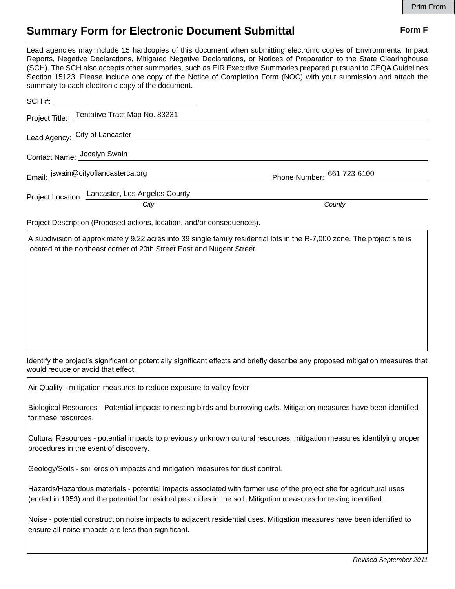## **Summary Form for Electronic Document Submittal Form F Form F**

Lead agencies may include 15 hardcopies of this document when submitting electronic copies of Environmental Impact Reports, Negative Declarations, Mitigated Negative Declarations, or Notices of Preparation to the State Clearinghouse (SCH). The SCH also accepts other summaries, such as EIR Executive Summaries prepared pursuant to CEQA Guidelines Section 15123. Please include one copy of the Notice of Completion Form (NOC) with your submission and attach the summary to each electronic copy of the document.

| Project Title: Tentative Tract Map No. 83231    |                            |
|-------------------------------------------------|----------------------------|
| Lead Agency: City of Lancaster                  |                            |
| Contact Name: Jocelyn Swain                     |                            |
| Email: jswain@cityoflancasterca.org             | Phone Number: 661-723-6100 |
| Project Location: Lancaster, Los Angeles County |                            |
| City                                            | County                     |

Project Description (Proposed actions, location, and/or consequences).

A subdivision of approximately 9.22 acres into 39 single family residential lots in the R-7,000 zone. The project site is located at the northeast corner of 20th Street East and Nugent Street.

Identify the project's significant or potentially significant effects and briefly describe any proposed mitigation measures that would reduce or avoid that effect.

Air Quality - mitigation measures to reduce exposure to valley fever

Biological Resources - Potential impacts to nesting birds and burrowing owls. Mitigation measures have been identified for these resources.

Cultural Resources - potential impacts to previously unknown cultural resources; mitigation measures identifying proper procedures in the event of discovery.

Geology/Soils - soil erosion impacts and mitigation measures for dust control.

Hazards/Hazardous materials - potential impacts associated with former use of the project site for agricultural uses (ended in 1953) and the potential for residual pesticides in the soil. Mitigation measures for testing identified.

Noise - potential construction noise impacts to adjacent residential uses. Mitigation measures have been identified to ensure all noise impacts are less than significant.